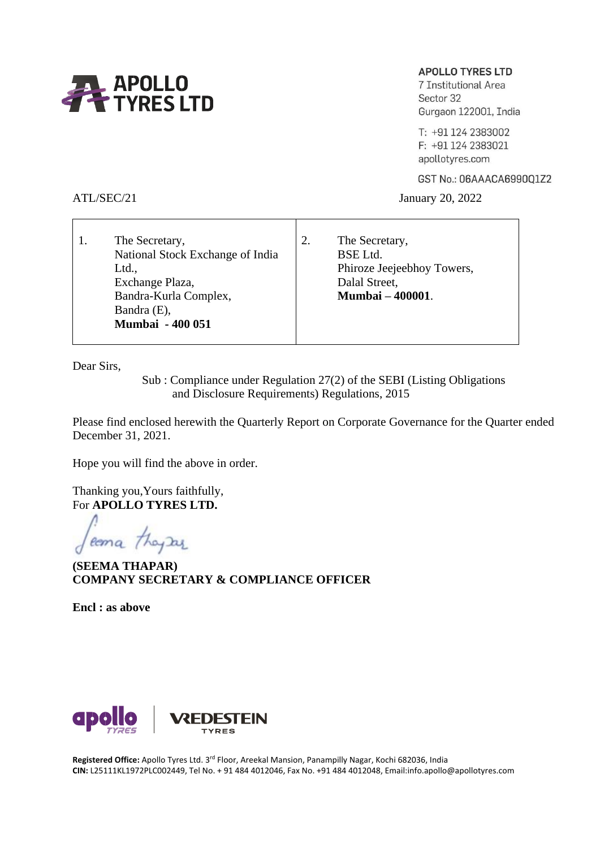

# **APOLLO TYRES LTD**

7 Institutional Area Sector 32 Gurgaon 122001, India

T: +91 124 2383002 F: +91 124 2383021 apollotyres.com

GST No.: 06AAACA6990Q1Z2

ATL/SEC/21 January 20, 2022

| The Secretary,<br>National Stock Exchange of India<br>Ltd.,<br>Exchange Plaza, | The Secretary,<br><b>BSE</b> Ltd.<br>Phiroze Jeejeebhoy Towers,<br>Dalal Street,<br><b>Mumbai - 400001.</b> |
|--------------------------------------------------------------------------------|-------------------------------------------------------------------------------------------------------------|
| Bandra-Kurla Complex,                                                          |                                                                                                             |
| Bandra (E),                                                                    |                                                                                                             |
| <b>Mumbai - 400 051</b>                                                        |                                                                                                             |

Dear Sirs,

 Sub : Compliance under Regulation 27(2) of the SEBI (Listing Obligations and Disclosure Requirements) Regulations, 2015

Please find enclosed herewith the Quarterly Report on Corporate Governance for the Quarter ended December 31, 2021.

Hope you will find the above in order.

Thanking you,Yours faithfully, For **APOLLO TYRES LTD.**

coma they are

**(SEEMA THAPAR) COMPANY SECRETARY & COMPLIANCE OFFICER**

**Encl : as above**



**Registered Office:** Apollo Tyres Ltd. 3rd Floor, Areekal Mansion, Panampilly Nagar, Kochi 682036, India **CIN:** L25111KL1972PLC002449, Tel No. + 91 484 4012046, Fax No. +91 484 4012048, Email:info.apollo@apollotyres.com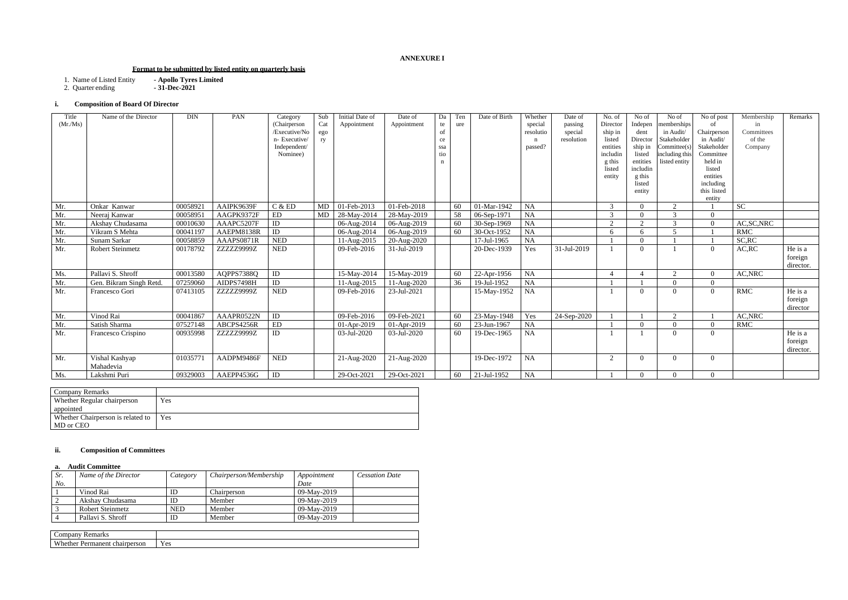# **ANNEXURE I**

## **Format to be submitted by listed entity on quarterly basis**

- 1. Name of Listed Entity **- Apollo Tyres Limited**
- 2. Quarter ending **- 31-Dec-2021**

# **i. Composition of Board Of Director**

| Company Remarks                   |            |
|-----------------------------------|------------|
| Whether Regular chairperson       | Yes        |
| appointed                         |            |
| Whether Chairperson is related to | <b>Yes</b> |
| MD or CEO                         |            |

## **ii. Composition of Committees**

## **a. Audit Committee**

| Sr. | Name of the Director | Category   | Chairperson/Membership | Appointment | <b>Cessation Date</b> |
|-----|----------------------|------------|------------------------|-------------|-----------------------|
| No. |                      |            |                        | Date        |                       |
|     | Vinod Rai            | ID         | Chairperson            | 09-May-2019 |                       |
|     | Akshav Chudasama     | ID         | Member                 | 09-May-2019 |                       |
|     | Robert Steinmetz     | <b>NED</b> | Member                 | 09-May-2019 |                       |
|     | Pallavi S. Shroff    | ID         | Member                 | 09-May-2019 |                       |

| Company<br>Remarks                                              |                        |
|-----------------------------------------------------------------|------------------------|
| <b>XX71</b><br>nether<br>chairperson<br>nanent .<br>$\n  Dom\n$ | $\epsilon$ or<br>1 C D |

| Title<br>(Mr/Ms) | Name of the Director        | <b>DIN</b> | PAN        | Category<br>(Chairperson<br>/Executive/No<br>n- Executive/<br>Independent/<br>Nominee) | Sub<br>Cat<br>ego<br>ry | Initial Date of<br>Appointment | Date of<br>Appointment | Da<br>te<br>of<br>ce<br>ssa<br>tio<br>n | Ten<br>ure | Date of Birth | Whether<br>special<br>resolutio<br>$\mathbf n$<br>passed? | Date of<br>passing<br>special<br>resolution | No. of<br>Director<br>ship in<br>listed<br>entities<br>includin<br>g this<br>listed<br>entity | No of<br>Indepen<br>dent<br>Director<br>ship in<br>listed<br>entities<br>includin<br>g this<br>listed<br>entity | No of<br>memberships<br>in Audit/<br>Stakeholder<br>Committee(s)<br>including this<br>listed entity | No of post<br>of<br>Chairperson<br>in Audit/<br>Stakeholder<br>Committee<br>held in<br>listed<br>entities<br>including<br>this listed<br>entity | Membership<br>in<br>Committees<br>of the<br>Company | Remarks                         |
|------------------|-----------------------------|------------|------------|----------------------------------------------------------------------------------------|-------------------------|--------------------------------|------------------------|-----------------------------------------|------------|---------------|-----------------------------------------------------------|---------------------------------------------|-----------------------------------------------------------------------------------------------|-----------------------------------------------------------------------------------------------------------------|-----------------------------------------------------------------------------------------------------|-------------------------------------------------------------------------------------------------------------------------------------------------|-----------------------------------------------------|---------------------------------|
| Mr.              | Onkar Kanwar                | 00058921   | AAIPK9639F | C & E D                                                                                | MD                      | 01-Feb-2013                    | 01-Feb-2018            |                                         | 60         | 01-Mar-1942   | <b>NA</b>                                                 |                                             | 3                                                                                             | $\Omega$                                                                                                        | 2                                                                                                   |                                                                                                                                                 | <b>SC</b>                                           |                                 |
| Mr.              | Neeraj Kanwar               | 00058951   | AAGPK9372F | ${\rm ED}$                                                                             | MD                      | 28-May-2014                    | 28-May-2019            |                                         | 58         | 06-Sep-1971   | <b>NA</b>                                                 |                                             | $\mathcal{E}$                                                                                 | $\Omega$                                                                                                        | $\mathcal{R}$                                                                                       | $\Omega$                                                                                                                                        |                                                     |                                 |
| Mr.              | Akshay Chudasama            | 00010630   | AAAPC5207F | ID                                                                                     |                         | 06-Aug-2014                    | 06-Aug-2019            |                                         | 60         | 30-Sep-1969   | NA                                                        |                                             | $\gamma$                                                                                      | $\bigcap$                                                                                                       | $\mathcal{R}$                                                                                       | $\Omega$                                                                                                                                        | AC, SC, NRC                                         |                                 |
| Mr.              | Vikram S Mehta              | 00041197   | AAEPM8138R | ID                                                                                     |                         | 06-Aug-2014                    | 06-Aug-2019            |                                         | 60         | 30-Oct-1952   | <b>NA</b>                                                 |                                             | 6                                                                                             | 6                                                                                                               | $\overline{\mathcal{L}}$                                                                            |                                                                                                                                                 | <b>RMC</b>                                          |                                 |
| Mr.              | Sunam Sarkar                | 00058859   | AAAPS0871R | <b>NED</b>                                                                             |                         | 11-Aug-2015                    | 20-Aug-2020            |                                         |            | 17-Jul-1965   | <b>NA</b>                                                 |                                             |                                                                                               | $\Omega$                                                                                                        |                                                                                                     |                                                                                                                                                 | SC, RC                                              |                                 |
| Mr.              | Robert Steinmetz            | 00178792   | ZZZZZ9999Z | <b>NED</b>                                                                             |                         | 09-Feb-2016                    | 31-Jul-2019            |                                         |            | 20-Dec-1939   | Yes                                                       | 31-Jul-2019                                 |                                                                                               | $\Omega$                                                                                                        |                                                                                                     | $\theta$                                                                                                                                        | AC, RC                                              | He is a<br>foreign<br>director. |
| Ms.              | Pallavi S. Shroff           | 00013580   | AQPPS7388Q | ID                                                                                     |                         | 15-May-2014                    | 15-May-2019            |                                         | 60         | 22-Apr-1956   | <b>NA</b>                                                 |                                             |                                                                                               |                                                                                                                 | $\sim$                                                                                              | $\Omega$                                                                                                                                        | AC, NRC                                             |                                 |
| Mr.              | Gen. Bikram Singh Retd.     | 07259060   | AIDPS7498H | ID                                                                                     |                         | 11-Aug-2015                    | 11-Aug-2020            |                                         | 36         | 19-Jul-1952   | <b>NA</b>                                                 |                                             |                                                                                               |                                                                                                                 |                                                                                                     | $\Omega$                                                                                                                                        |                                                     |                                 |
| Mr.              | Francesco Gori              | 07413105   | ZZZZZ9999Z | <b>NED</b>                                                                             |                         | 09-Feb-2016                    | 23-Jul-2021            |                                         |            | 15-May-1952   | <b>NA</b>                                                 |                                             |                                                                                               | $\Omega$                                                                                                        |                                                                                                     | $\theta$                                                                                                                                        | <b>RMC</b>                                          | He is a<br>foreign<br>director  |
| Mr.              | Vinod Rai                   | 00041867   | AAAPR0522N | ID                                                                                     |                         | 09-Feb-2016                    | 09-Feb-2021            |                                         | 60         | 23-May-1948   | Yes                                                       | 24-Sep-2020                                 |                                                                                               |                                                                                                                 | $\gamma$                                                                                            |                                                                                                                                                 | AC, NRC                                             |                                 |
| Mr.              | Satish Sharma               | 07527148   | ABCPS4256R | ${\rm ED}$                                                                             |                         | 01-Apr-2019                    | 01-Apr-2019            |                                         | 60         | 23-Jun-1967   | <b>NA</b>                                                 |                                             |                                                                                               | $\Omega$                                                                                                        |                                                                                                     | $\Omega$                                                                                                                                        | <b>RMC</b>                                          |                                 |
| Mr.              | Francesco Crispino          | 00935998   | ZZZZZ9999Z | ID                                                                                     |                         | 03-Jul-2020                    | 03-Jul-2020            |                                         | 60         | 19-Dec-1965   | <b>NA</b>                                                 |                                             |                                                                                               |                                                                                                                 |                                                                                                     | $\Omega$                                                                                                                                        |                                                     | He is a<br>foreign<br>director. |
| Mr.              | Vishal Kashyap<br>Mahadevia | 01035771   | AADPM9486F | <b>NED</b>                                                                             |                         | $21-Aug-2020$                  | 21-Aug-2020            |                                         |            | 19-Dec-1972   | <b>NA</b>                                                 |                                             | 2                                                                                             | $\Omega$                                                                                                        |                                                                                                     | $\Omega$                                                                                                                                        |                                                     |                                 |
| Ms.              | Lakshmi Puri                | 09329003   | AAEPP4536G | ID                                                                                     |                         | 29-Oct-2021                    | 29-Oct-2021            |                                         | 60         | 21-Jul-1952   | <b>NA</b>                                                 |                                             |                                                                                               | $\Omega$                                                                                                        |                                                                                                     | $\Omega$                                                                                                                                        |                                                     |                                 |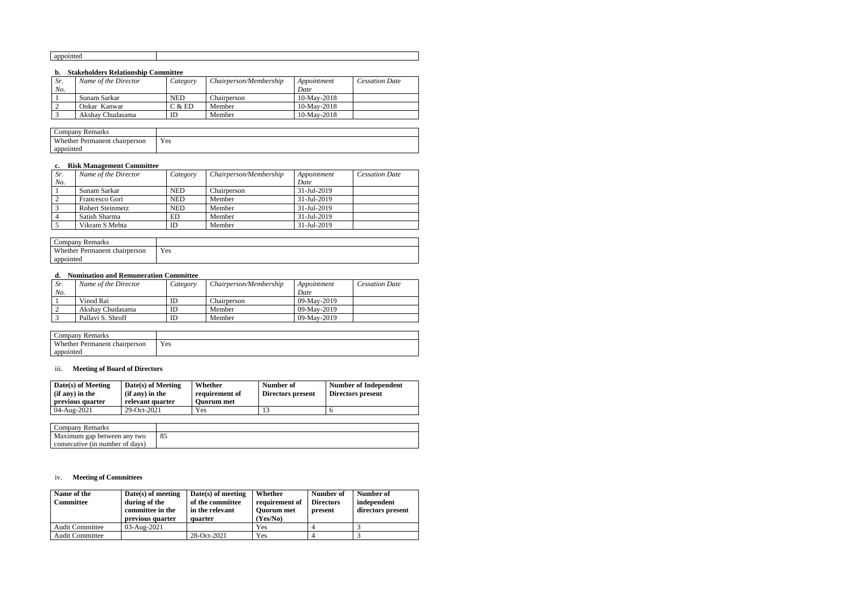## **b. Stakeholders Relationship Committee**

| Sr. | Name of the Director | Category   | Chairperson/Membership | Appointment | <b>Cessation Date</b> |
|-----|----------------------|------------|------------------------|-------------|-----------------------|
| No. |                      |            |                        | Date        |                       |
|     | - Sunam Sarkar       | <b>NED</b> | Chairperson            | 10-May-2018 |                       |
|     | Onkar Kanwar         | C & ED     | Member                 | 10-May-2018 |                       |
|     | Akshav Chudasama     | ID         | Member                 | 10-May-2018 |                       |

| $\sqrt{ }$<br>Company<br>Remarks      |     |
|---------------------------------------|-----|
| Whether Permanent ch<br>t chairperson | Yes |
| appointed                             |     |

## **c. Risk Management Committee**

| Sr. | Name of the Director | Category   | Chairperson/Membership | Appointment              | <b>Cessation Date</b> |
|-----|----------------------|------------|------------------------|--------------------------|-----------------------|
| No. |                      |            |                        | Date                     |                       |
|     | Sunam Sarkar         | <b>NED</b> | Chairperson            | $31 - \text{Jul} - 2019$ |                       |
|     | Francesco Gori       | <b>NED</b> | Member                 | $31 - \text{Jul} - 2019$ |                       |
|     | Robert Steinmetz     | <b>NED</b> | Member                 | $31 - \text{Jul} - 2019$ |                       |
|     | Satish Sharma        | ED         | Member                 | 31-Jul-2019              |                       |
|     | Vikram S Mehta       | ID         | Member                 | 31-Jul-2019              |                       |

| $\mathcal{L}$ ompany<br><b>Remarks</b> |     |
|----------------------------------------|-----|
| Whether Permanent chairperson          | Yes |
| appointed                              |     |

#### **d. Nomination and Remuneration Committee**

| Sr. | Name of the Director | Category | Chairperson/Membership | Appointment | <b>Cessation Date</b> |
|-----|----------------------|----------|------------------------|-------------|-----------------------|
| No. |                      |          |                        | Date        |                       |
|     | Vinod Rai            | ш        | Chairperson            | 09-May-2019 |                       |
|     | Akshav Chudasama     | ш        | Member                 | 09-May-2019 |                       |
|     | Pallavi S. Shroff    |          | Member                 | 09-May-2019 |                       |

| Company<br><b>Remarks</b>               |     |
|-----------------------------------------|-----|
| <b>Whether Permanent</b><br>chairperson | Yes |
| appointed                               |     |

## iii. **Meeting of Board of Directors**

| Date(s) of Meeting<br>$(i\mathbf{f}$ any) in the<br>previous quarter | Date(s) of Meeting<br>$(i f any)$ in the<br>relevant quarter | Whether<br>requirement of<br><b>Ouorum</b> met | Number of<br>Directors present | Number of Independent<br>Directors present |
|----------------------------------------------------------------------|--------------------------------------------------------------|------------------------------------------------|--------------------------------|--------------------------------------------|
| 04-Aug-2021                                                          | 29-Oct-2021                                                  | Yes                                            |                                |                                            |

| Company Remarks                 |     |
|---------------------------------|-----|
| Maximum gap between any two     | -85 |
| consecutive (in number of days) |     |

## iv. **Meeting of Committees**

| Name of the<br><b>Committee</b> | $Date(s)$ of meeting<br>during of the<br>committee in the<br>previous quarter | $Date(s)$ of meeting<br>of the committee<br>in the relevant<br>quarter | Whether<br>requirement of<br><b>Ouorum</b> met<br>(Yes/No) | Number of<br><b>Directors</b><br>present | Number of<br>independent<br>directors present |
|---------------------------------|-------------------------------------------------------------------------------|------------------------------------------------------------------------|------------------------------------------------------------|------------------------------------------|-----------------------------------------------|
| <b>Audit Committee</b>          | $03 - \text{Aug} - 2021$                                                      |                                                                        | Yes                                                        |                                          |                                               |
| <b>Audit Committee</b>          |                                                                               | 28-Oct-2021                                                            | Yes                                                        |                                          |                                               |